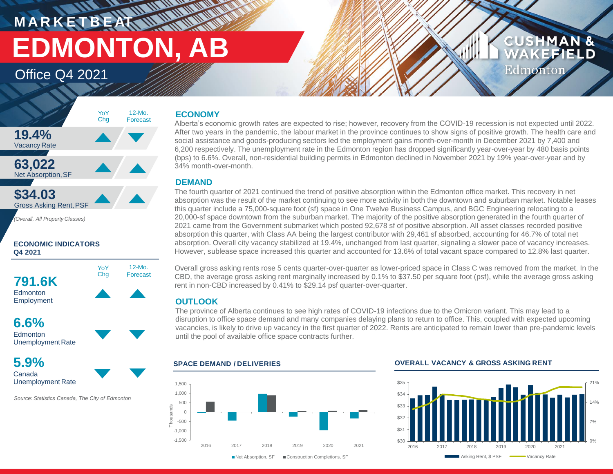**M A R K E T B E AT EDMONTON, AB** 

> 12-Mo. Forecast

Office Q4 2021



**ECONOMIC INDICATORS Q4 2021**





**5.9%** Canada Unemployment Rate

*Source: Statistics Canada, The City of Edmonton*

## **ECONOMY**

**WALLER** 

Alberta's economic growth rates are expected to rise; however, recovery from the COVID-19 recession is not expected until 2022. After two years in the pandemic, the labour market in the province continues to show signs of positive growth. The health care and social assistance and goods-producing sectors led the employment gains month-over-month in December 2021 by 7,400 and 6,200 respectively. The unemployment rate in the Edmonton region has dropped significantly year-over-year by 480 basis points (bps) to 6.6%. Overall, non-residential building permits in Edmonton declined in November 2021 by 19% year-over-year and by 34% month-over-month.

## **DEMAND**

The fourth quarter of 2021 continued the trend of positive absorption within the Edmonton office market. This recovery in net absorption was the result of the market continuing to see more activity in both the downtown and suburban market. Notable leases this quarter include a 75,000-square foot (sf) space in One Twelve Business Campus, and BGC Engineering relocating to a 20,000-sf space downtown from the suburban market. The majority of the positive absorption generated in the fourth quarter of 2021 came from the Government submarket which posted 92,678 sf of positive absorption. All asset classes recorded positive absorption this quarter, with Class AA being the largest contributor with 29,461 sf absorbed, accounting for 46.7% of total net absorption. Overall city vacancy stabilized at 19.4%, unchanged from last quarter, signaling a slower pace of vacancy increases. However, sublease space increased this quarter and accounted for 13.6% of total vacant space compared to 12.8% last quarter.

Overall gross asking rents rose 5 cents quarter-over-quarter as lower-priced space in Class C was removed from the market. In the CBD, the average gross asking rent marginally increased by 0.1% to \$37.50 per square foot (psf), while the average gross asking rent in non-CBD increased by 0.41% to \$29.14 psf quarter-over-quarter.

## **OUTLOOK**

The province of Alberta continues to see high rates of COVID-19 infections due to the Omicron variant. This may lead to a disruption to office space demand and many companies delaying plans to return to office. This, coupled with expected upcoming vacancies, is likely to drive up vacancy in the first quarter of 2022. Rents are anticipated to remain lower than pre-pandemic levels until the pool of available office space contracts further.



## **SPACE DEMAND / DELIVERIES OVERALL VACANCY & GROSS ASKING RENT**



**CUSHMAN &** 

Edmonton

EFIELD